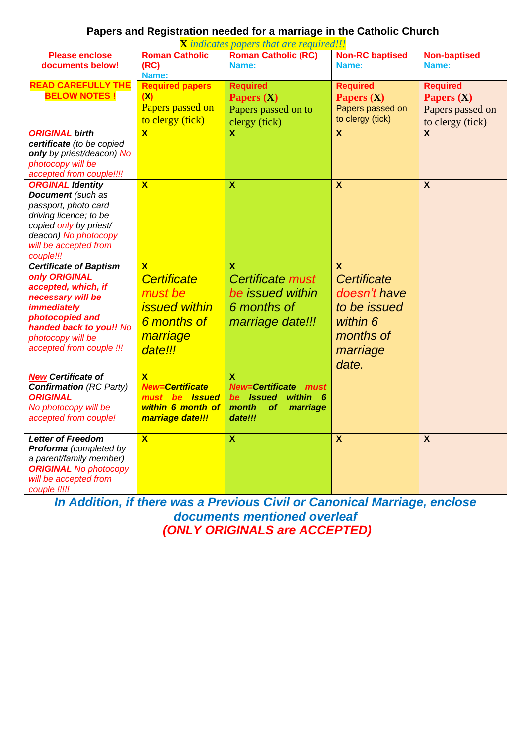## **Papers and Registration needed for a marriage in the Catholic Church**

| <b>X</b> indicates papers that are required!!!        |                             |                                                                           |                           |                     |  |  |  |
|-------------------------------------------------------|-----------------------------|---------------------------------------------------------------------------|---------------------------|---------------------|--|--|--|
| <b>Please enclose</b>                                 | <b>Roman Catholic</b>       | <b>Roman Catholic (RC)</b>                                                | <b>Non-RC baptised</b>    | <b>Non-baptised</b> |  |  |  |
| documents below!                                      | (RC)                        | Name:                                                                     | Name:                     | Name:               |  |  |  |
|                                                       | Name:                       |                                                                           |                           |                     |  |  |  |
| <b>READ CAREFULLY THE</b>                             | <b>Required papers</b>      | <b>Required</b>                                                           | <b>Required</b>           | <b>Required</b>     |  |  |  |
| <b>BELOW NOTES!</b>                                   | (X)                         | Papers $(X)$                                                              | Papers (X)                | Papers $(X)$        |  |  |  |
|                                                       | Papers passed on            | Papers passed on to                                                       | Papers passed on          | Papers passed on    |  |  |  |
|                                                       | to clergy (tick)            | clergy (tick)                                                             | to clergy (tick)          | to clergy (tick)    |  |  |  |
| <b>ORIGINAL birth</b>                                 | $\overline{\mathbf{X}}$     | $\mathbf x$                                                               | $\overline{\mathbf{x}}$   | $\boldsymbol{X}$    |  |  |  |
| certificate (to be copied                             |                             |                                                                           |                           |                     |  |  |  |
| only by priest/deacon) No                             |                             |                                                                           |                           |                     |  |  |  |
| photocopy will be                                     |                             |                                                                           |                           |                     |  |  |  |
| accepted from couple!!!!                              |                             |                                                                           |                           |                     |  |  |  |
| <b>ORGINAL Identity</b>                               | $\overline{\mathbf{x}}$     | $\boldsymbol{\mathsf{x}}$                                                 | $\boldsymbol{\mathsf{X}}$ | $\boldsymbol{X}$    |  |  |  |
| <b>Document</b> (such as                              |                             |                                                                           |                           |                     |  |  |  |
| passport, photo card                                  |                             |                                                                           |                           |                     |  |  |  |
| driving licence; to be                                |                             |                                                                           |                           |                     |  |  |  |
| copied only by priest/                                |                             |                                                                           |                           |                     |  |  |  |
| deacon) No photocopy                                  |                             |                                                                           |                           |                     |  |  |  |
| will be accepted from                                 |                             |                                                                           |                           |                     |  |  |  |
| couple!!!                                             |                             |                                                                           |                           |                     |  |  |  |
| <b>Certificate of Baptism</b>                         | $\overline{\mathbf{x}}$     | $\mathbf x$                                                               | $\mathbf x$               |                     |  |  |  |
| only ORIGINAL                                         | Certificate                 | Certificate must                                                          | Certificate               |                     |  |  |  |
| accepted, which, if                                   | must be                     | be issued within                                                          | doesn't have              |                     |  |  |  |
| necessary will be                                     |                             |                                                                           |                           |                     |  |  |  |
| <i><b>immediately</b></i>                             | <i><b>issued within</b></i> | 6 months of                                                               | to be issued              |                     |  |  |  |
| photocopied and                                       | 6 months of                 | marriage date!!!                                                          | within 6                  |                     |  |  |  |
| handed back to you!! No                               | marriage                    |                                                                           | months of                 |                     |  |  |  |
| photocopy will be<br>accepted from couple !!!         |                             |                                                                           |                           |                     |  |  |  |
|                                                       | date!!!                     |                                                                           | marriage                  |                     |  |  |  |
|                                                       |                             |                                                                           | date.                     |                     |  |  |  |
| <b>New Certificate of</b>                             | $\overline{\mathbf{X}}$     | $\mathbf x$                                                               |                           |                     |  |  |  |
| <b>Confirmation</b> (RC Party)                        | <b>New=Certificate</b>      | <b>New=Certificate</b><br>must                                            |                           |                     |  |  |  |
| <b>ORIGINAL</b>                                       | must be <b>Issued</b>       | within 6<br>be Issued                                                     |                           |                     |  |  |  |
| No photocopy will be                                  | within 6 month of           | marriage<br>month<br><b>of</b>                                            |                           |                     |  |  |  |
| accepted from couple!                                 | marriage date!!!            | date!!!                                                                   |                           |                     |  |  |  |
|                                                       |                             |                                                                           |                           |                     |  |  |  |
| <b>Letter of Freedom</b>                              | $\overline{\mathbf{X}}$     | $\overline{\mathbf{x}}$                                                   | $\overline{\mathbf{x}}$   | X                   |  |  |  |
| Proforma (completed by                                |                             |                                                                           |                           |                     |  |  |  |
| a parent/family member)                               |                             |                                                                           |                           |                     |  |  |  |
| <b>ORIGINAL</b> No photocopy<br>will be accepted from |                             |                                                                           |                           |                     |  |  |  |
| couple !!!!!                                          |                             |                                                                           |                           |                     |  |  |  |
|                                                       |                             |                                                                           |                           |                     |  |  |  |
|                                                       |                             | In Addition, if there was a Previous Civil or Canonical Marriage, enclose |                           |                     |  |  |  |
|                                                       |                             | documents mentioned overleaf                                              |                           |                     |  |  |  |
| (ONLY ORIGINALS are ACCEPTED)                         |                             |                                                                           |                           |                     |  |  |  |
|                                                       |                             |                                                                           |                           |                     |  |  |  |